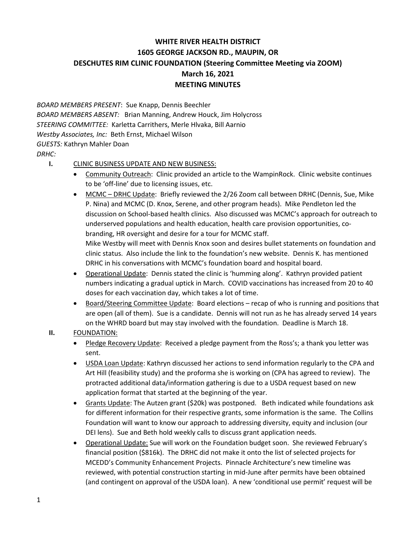## **WHITE RIVER HEALTH DISTRICT 1605 GEORGE JACKSON RD., MAUPIN, OR DESCHUTES RIM CLINIC FOUNDATION (Steering Committee Meeting via ZOOM) March 16, 2021 MEETING MINUTES**

*BOARD MEMBERS PRESENT*: Sue Knapp, Dennis Beechler *BOARD MEMBERS ABSENT:* Brian Manning, Andrew Houck, Jim Holycross *STEERING COMMITTEE:* Karletta Carrithers, Merle Hlvaka, Bill Aarnio *Westby Associates, Inc:* Beth Ernst, Michael Wilson *GUESTS:* Kathryn Mahler Doan *DRHC:*

## **I.** CLINIC BUSINESS UPDATE AND NEW BUSINESS:

- Community Outreach: Clinic provided an article to the WampinRock. Clinic website continues to be 'off-line' due to licensing issues, etc.
- MCMC DRHC Update: Briefly reviewed the 2/26 Zoom call between DRHC (Dennis, Sue, Mike P. Nina) and MCMC (D. Knox, Serene, and other program heads). Mike Pendleton led the discussion on School-based health clinics. Also discussed was MCMC's approach for outreach to underserved populations and health education, health care provision opportunities, cobranding, HR oversight and desire for a tour for MCMC staff. Mike Westby will meet with Dennis Knox soon and desires bullet statements on foundation and clinic status. Also include the link to the foundation's new website. Dennis K. has mentioned DRHC in his conversations with MCMC's foundation board and hospital board.
- Operational Update: Dennis stated the clinic is 'humming along'. Kathryn provided patient numbers indicating a gradual uptick in March. COVID vaccinations has increased from 20 to 40 doses for each vaccination day, which takes a lot of time.
- Board/Steering Committee Update: Board elections recap of who is running and positions that are open (all of them). Sue is a candidate. Dennis will not run as he has already served 14 years on the WHRD board but may stay involved with the foundation. Deadline is March 18.

## **II.** FOUNDATION:

- Pledge Recovery Update: Received a pledge payment from the Ross's; a thank you letter was sent.
- USDA Loan Update: Kathryn discussed her actions to send information regularly to the CPA and Art Hill (feasibility study) and the proforma she is working on (CPA has agreed to review). The protracted additional data/information gathering is due to a USDA request based on new application format that started at the beginning of the year.
- Grants Update: The Autzen grant (\$20k) was postponed. Beth indicated while foundations ask for different information for their respective grants, some information is the same. The Collins Foundation will want to know our approach to addressing diversity, equity and inclusion (our DEI lens). Sue and Beth hold weekly calls to discuss grant application needs.
- Operational Update: Sue will work on the Foundation budget soon. She reviewed February's financial position (\$816k). The DRHC did not make it onto the list of selected projects for MCEDD's Community Enhancement Projects. Pinnacle Architecture's new timeline was reviewed, with potential construction starting in mid-June after permits have been obtained (and contingent on approval of the USDA loan). A new 'conditional use permit' request will be